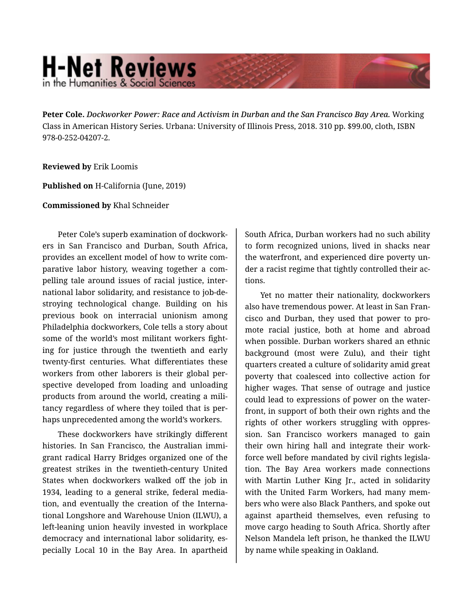## **H-Net Reviews** in the Humanities & Social Scienc

**Peter Cole.** *Dockworker Power: Race and Activism in Durban and the San Francisco Bay Area.* Working Class in American History Series. Urbana: University of Illinois Press, 2018. 310 pp. \$99.00, cloth, ISBN 978-0-252-04207-2.

## **Reviewed by** Erik Loomis

**Published on** H-California (June, 2019)

**Commissioned by** Khal Schneider

Peter Cole's superb examination of dockwork‐ ers in San Francisco and Durban, South Africa, provides an excellent model of how to write com‐ parative labor history, weaving together a com‐ pelling tale around issues of racial justice, inter‐ national labor solidarity, and resistance to job-de‐ stroying technological change. Building on his previous book on interracial unionism among Philadelphia dockworkers, Cole tells a story about some of the world's most militant workers fight‐ ing for justice through the twentieth and early twenty-first centuries. What differentiates these workers from other laborers is their global per‐ spective developed from loading and unloading products from around the world, creating a mili‐ tancy regardless of where they toiled that is per‐ haps unprecedented among the world's workers.

These dockworkers have strikingly different histories. In San Francisco, the Australian immi‐ grant radical Harry Bridges organized one of the greatest strikes in the twentieth-century United States when dockworkers walked off the job in 1934, leading to a general strike, federal media‐ tion, and eventually the creation of the Interna‐ tional Longshore and Warehouse Union (ILWU), a left-leaning union heavily invested in workplace democracy and international labor solidarity, es‐ pecially Local 10 in the Bay Area. In apartheid

South Africa, Durban workers had no such ability to form recognized unions, lived in shacks near the waterfront, and experienced dire poverty un‐ der a racist regime that tightly controlled their ac‐ tions.

Yet no matter their nationality, dockworkers also have tremendous power. At least in San Fran‐ cisco and Durban, they used that power to pro‐ mote racial justice, both at home and abroad when possible. Durban workers shared an ethnic background (most were Zulu), and their tight quarters created a culture of solidarity amid great poverty that coalesced into collective action for higher wages. That sense of outrage and justice could lead to expressions of power on the water‐ front, in support of both their own rights and the rights of other workers struggling with oppres‐ sion. San Francisco workers managed to gain their own hiring hall and integrate their work‐ force well before mandated by civil rights legisla‐ tion. The Bay Area workers made connections with Martin Luther King Jr., acted in solidarity with the United Farm Workers, had many mem‐ bers who were also Black Panthers, and spoke out against apartheid themselves, even refusing to move cargo heading to South Africa. Shortly after Nelson Mandela left prison, he thanked the ILWU by name while speaking in Oakland.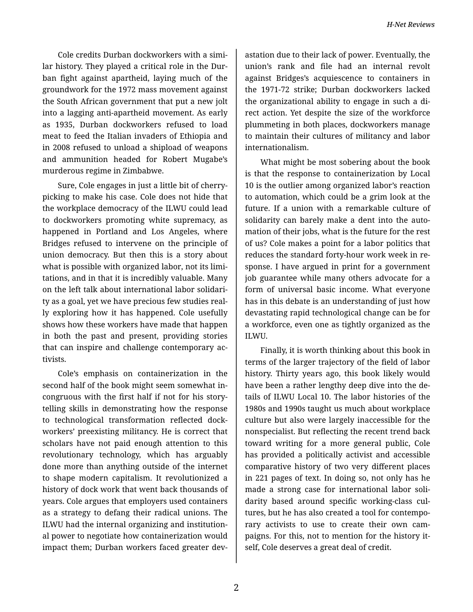Cole credits Durban dockworkers with a simi‐ lar history. They played a critical role in the Dur‐ ban fight against apartheid, laying much of the groundwork for the 1972 mass movement against the South African government that put a new jolt into a lagging anti-apartheid movement. As early as 1935, Durban dockworkers refused to load meat to feed the Italian invaders of Ethiopia and in 2008 refused to unload a shipload of weapons and ammunition headed for Robert Mugabe's murderous regime in Zimbabwe.

Sure, Cole engages in just a little bit of cherrypicking to make his case. Cole does not hide that the workplace democracy of the ILWU could lead to dockworkers promoting white supremacy, as happened in Portland and Los Angeles, where Bridges refused to intervene on the principle of union democracy. But then this is a story about what is possible with organized labor, not its limi‐ tations, and in that it is incredibly valuable. Many on the left talk about international labor solidari‐ ty as a goal, yet we have precious few studies real‐ ly exploring how it has happened. Cole usefully shows how these workers have made that happen in both the past and present, providing stories that can inspire and challenge contemporary ac‐ tivists.

Cole's emphasis on containerization in the second half of the book might seem somewhat in‐ congruous with the first half if not for his story‐ telling skills in demonstrating how the response to technological transformation reflected dock‐ workers' preexisting militancy. He is correct that scholars have not paid enough attention to this revolutionary technology, which has arguably done more than anything outside of the internet to shape modern capitalism. It revolutionized a history of dock work that went back thousands of years. Cole argues that employers used containers as a strategy to defang their radical unions. The ILWU had the internal organizing and institution‐ al power to negotiate how containerization would impact them; Durban workers faced greater dev-

astation due to their lack of power. Eventually, the union's rank and file had an internal revolt against Bridges's acquiescence to containers in the 1971-72 strike; Durban dockworkers lacked the organizational ability to engage in such a di‐ rect action. Yet despite the size of the workforce plummeting in both places, dockworkers manage to maintain their cultures of militancy and labor internationalism.

What might be most sobering about the book is that the response to containerization by Local 10 is the outlier among organized labor's reaction to automation, which could be a grim look at the future. If a union with a remarkable culture of solidarity can barely make a dent into the auto‐ mation of their jobs, what is the future for the rest of us? Cole makes a point for a labor politics that reduces the standard forty-hour work week in re‐ sponse. I have argued in print for a government job guarantee while many others advocate for a form of universal basic income. What everyone has in this debate is an understanding of just how devastating rapid technological change can be for a workforce, even one as tightly organized as the ILWU.

Finally, it is worth thinking about this book in terms of the larger trajectory of the field of labor history. Thirty years ago, this book likely would have been a rather lengthy deep dive into the de‐ tails of ILWU Local 10. The labor histories of the 1980s and 1990s taught us much about workplace culture but also were largely inaccessible for the nonspecialist. But reflecting the recent trend back toward writing for a more general public, Cole has provided a politically activist and accessible comparative history of two very different places in 221 pages of text. In doing so, not only has he made a strong case for international labor soli‐ darity based around specific working-class cul‐ tures, but he has also created a tool for contempo‐ rary activists to use to create their own cam‐ paigns. For this, not to mention for the history it‐ self, Cole deserves a great deal of credit.